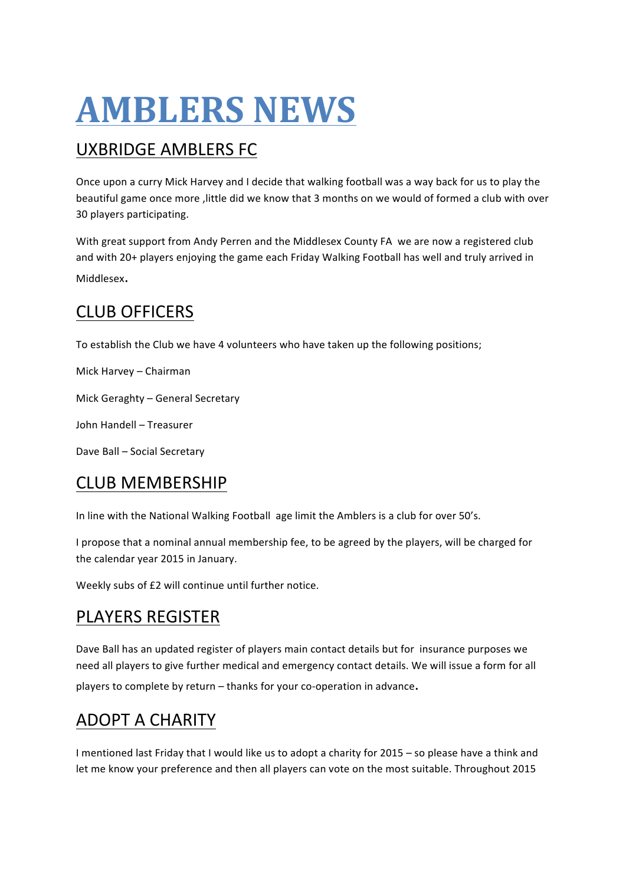# **AMBLERS NEWS**

# **UXBRIDGE AMBLERS FC**

Once upon a curry Mick Harvey and I decide that walking football was a way back for us to play the beautiful game once more , little did we know that 3 months on we would of formed a club with over 30 players participating.

With great support from Andy Perren and the Middlesex County FA we are now a registered club and with 20+ players enjoying the game each Friday Walking Football has well and truly arrived in Middlesex.

# CLUB OFFICERS

To establish the Club we have 4 volunteers who have taken up the following positions;

Mick Harvey – Chairman

Mick Geraghty - General Secretary

John Handell – Treasurer

Dave Ball - Social Secretary

# CLUB MEMBERSHIP

In line with the National Walking Football age limit the Amblers is a club for over 50's.

I propose that a nominal annual membership fee, to be agreed by the players, will be charged for the calendar year 2015 in January.

Weekly subs of £2 will continue until further notice.

#### PLAYERS REGISTER

Dave Ball has an updated register of players main contact details but for insurance purposes we need all players to give further medical and emergency contact details. We will issue a form for all players to complete by return – thanks for your co-operation in advance.

# **ADOPT A CHARITY**

I mentioned last Friday that I would like us to adopt a charity for 2015 – so please have a think and let me know your preference and then all players can vote on the most suitable. Throughout 2015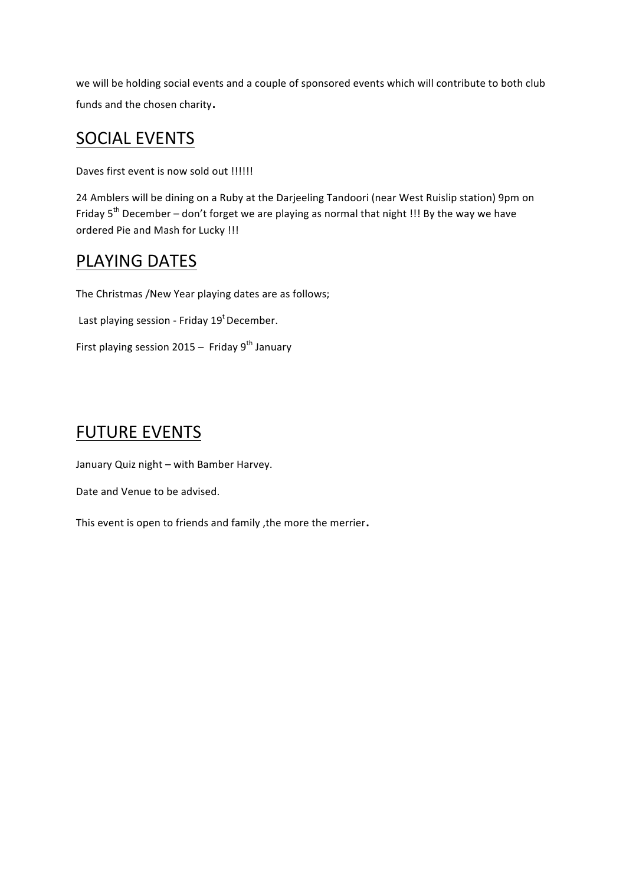we will be holding social events and a couple of sponsored events which will contribute to both club funds and the chosen charity.

#### **SOCIAL EVENTS**

Daves first event is now sold out !!!!!!

24 Amblers will be dining on a Ruby at the Darjeeling Tandoori (near West Ruislip station) 9pm on Friday  $5^{th}$  December – don't forget we are playing as normal that night !!! By the way we have ordered Pie and Mash for Lucky !!!

#### PLAYING DATES

The Christmas /New Year playing dates are as follows;

Last playing session - Friday  $19<sup>t</sup>$  December.

First playing session  $2015 -$  Friday  $9^{th}$  January

#### **FUTURE EVENTS**

January Quiz night - with Bamber Harvey.

Date and Venue to be advised.

This event is open to friends and family , the more the merrier.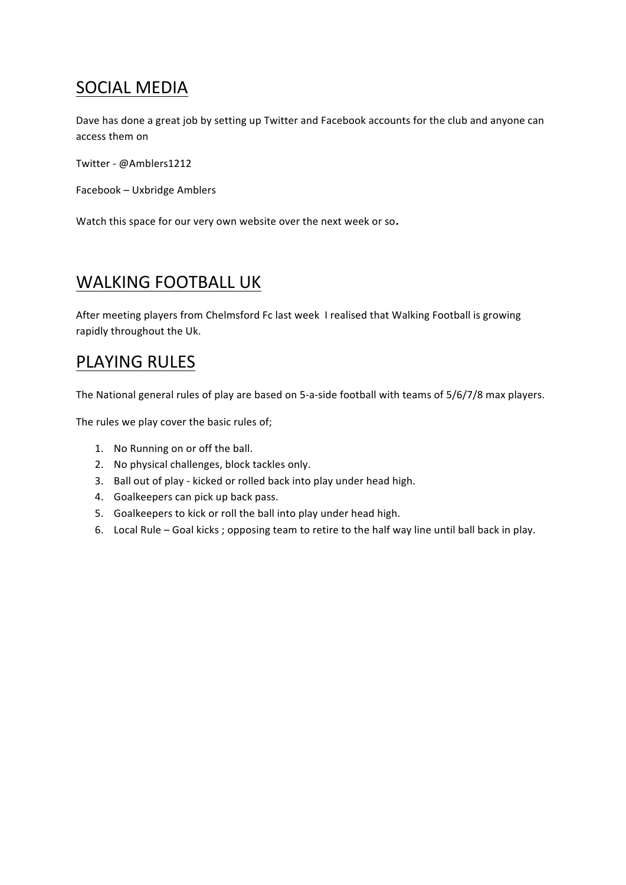# SOCIAL MEDIA

Dave has done a great job by setting up Twitter and Facebook accounts for the club and anyone can access them on

Twitter - @Amblers1212

Facebook - Uxbridge Amblers

Watch this space for our very own website over the next week or so.

### WALKING FOOTBALL UK

After meeting players from Chelmsford Fc last week I realised that Walking Football is growing rapidly throughout the Uk.

#### PLAYING RULES

The National general rules of play are based on 5-a-side football with teams of 5/6/7/8 max players.

The rules we play cover the basic rules of;

- 1. No Running on or off the ball.
- 2. No physical challenges, block tackles only.
- 3. Ball out of play kicked or rolled back into play under head high.
- 4. Goalkeepers can pick up back pass.
- 5. Goalkeepers to kick or roll the ball into play under head high.
- 6. Local Rule Goal kicks ; opposing team to retire to the half way line until ball back in play.